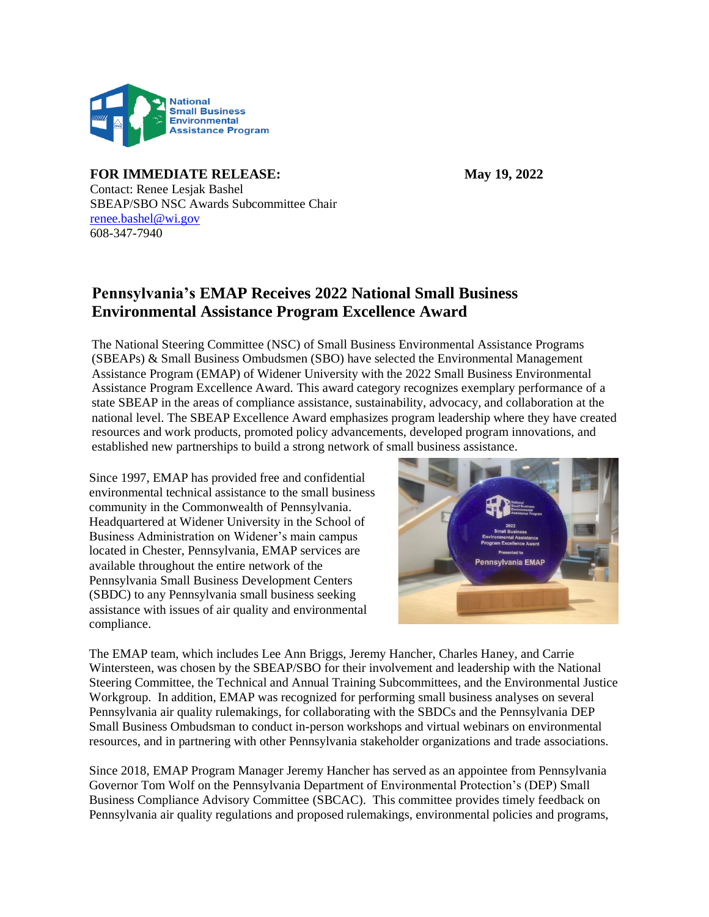

## **FOR IMMEDIATE RELEASE: May 19, 2022**

Contact: Renee Lesjak Bashel SBEAP/SBO NSC Awards Subcommittee Chair [renee.bashel@wi.gov](mailto:renee.bashel@wi.gov) 608-347-7940

## **Pennsylvania's EMAP Receives 2022 National Small Business Environmental Assistance Program Excellence Award**

The National Steering Committee (NSC) of Small Business Environmental Assistance Programs (SBEAPs) & Small Business Ombudsmen (SBO) have selected the Environmental Management Assistance Program (EMAP) of Widener University with the 2022 Small Business Environmental Assistance Program Excellence Award. This award category recognizes exemplary performance of a state SBEAP in the areas of compliance assistance, sustainability, advocacy, and collaboration at the national level. The SBEAP Excellence Award emphasizes program leadership where they have created resources and work products, promoted policy advancements, developed program innovations, and established new partnerships to build a strong network of small business assistance.

Since 1997, EMAP has provided free and confidential environmental technical assistance to the small business community in the Commonwealth of Pennsylvania. Headquartered at Widener University in the School of Business Administration on Widener's main campus located in Chester, Pennsylvania, EMAP services are available throughout the entire network of the Pennsylvania Small Business Development Centers (SBDC) to any Pennsylvania small business seeking assistance with issues of air quality and environmental compliance.



The EMAP team, which includes Lee Ann Briggs, Jeremy Hancher, Charles Haney, and Carrie Wintersteen, was chosen by the SBEAP/SBO for their involvement and leadership with the National Steering Committee, the Technical and Annual Training Subcommittees, and the Environmental Justice Workgroup. In addition, EMAP was recognized for performing small business analyses on several Pennsylvania air quality rulemakings, for collaborating with the SBDCs and the Pennsylvania DEP Small Business Ombudsman to conduct in-person workshops and virtual webinars on environmental resources, and in partnering with other Pennsylvania stakeholder organizations and trade associations.

Since 2018, EMAP Program Manager Jeremy Hancher has served as an appointee from Pennsylvania Governor Tom Wolf on the Pennsylvania Department of Environmental Protection's (DEP) Small Business Compliance Advisory Committee (SBCAC). This committee provides timely feedback on Pennsylvania air quality regulations and proposed rulemakings, environmental policies and programs,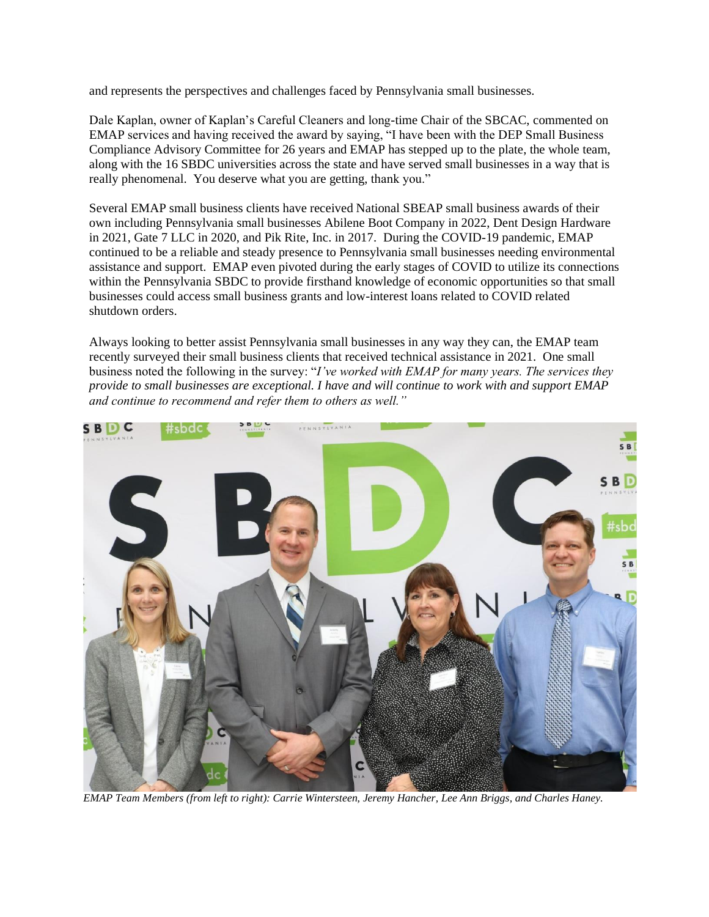and represents the perspectives and challenges faced by Pennsylvania small businesses.

Dale Kaplan, owner of Kaplan's Careful Cleaners and long-time Chair of the SBCAC, commented on EMAP services and having received the award by saying, "I have been with the DEP Small Business Compliance Advisory Committee for 26 years and EMAP has stepped up to the plate, the whole team, along with the 16 SBDC universities across the state and have served small businesses in a way that is really phenomenal. You deserve what you are getting, thank you."

Several EMAP small business clients have received National SBEAP small business awards of their own including Pennsylvania small businesses Abilene Boot Company in 2022, Dent Design Hardware in 2021, Gate 7 LLC in 2020, and Pik Rite, Inc. in 2017. During the COVID-19 pandemic, EMAP continued to be a reliable and steady presence to Pennsylvania small businesses needing environmental assistance and support. EMAP even pivoted during the early stages of COVID to utilize its connections within the Pennsylvania SBDC to provide firsthand knowledge of economic opportunities so that small businesses could access small business grants and low-interest loans related to COVID related shutdown orders.

Always looking to better assist Pennsylvania small businesses in any way they can, the EMAP team recently surveyed their small business clients that received technical assistance in 2021. One small business noted the following in the survey: "*I've worked with EMAP for many years. The services they provide to small businesses are exceptional. I have and will continue to work with and support EMAP and continue to recommend and refer them to others as well."* 



*EMAP Team Members (from left to right): Carrie Wintersteen, Jeremy Hancher, Lee Ann Briggs, and Charles Haney.*